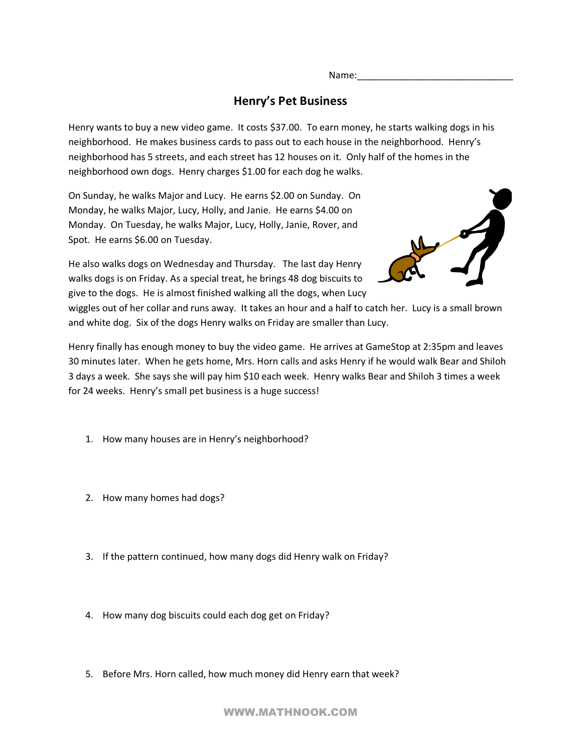Name:

## **Henry's Pet Business**

Henry wants to buy a new video game. It costs \$37.00. To earn money, he starts walking dogs in his neighborhood. He makes business cards to pass out to each house in the neighborhood. Henry's neighborhood has 5 streets, and each street has 12 houses on it. Only half of the homes in the neighborhood own dogs. Henry charges \$1.00 for each dog he walks.

On Sunday, he walks Major and Lucy. He earns \$2.00 on Sunday. On Monday, he walks Major, Lucy, Holly, and Janie. He earns \$4.00 on Monday. On Tuesday, he walks Major, Lucy, Holly, Janie, Rover, and Spot. He earns \$6.00 on Tuesday.

He also walks dogs on Wednesday and Thursday. The last day Henry walks dogs is on Friday. As a special treat, he brings 48 dog biscuits to give to the dogs. He is almost finished walking all the dogs, when Lucy



wiggles out of her collar and runs away. It takes an hour and a half to catch her. Lucy is a small brown and white dog. Six of the dogs Henry walks on Friday are smaller than Lucy.

Henry finally has enough money to buy the video game. He arrives at GameStop at 2:35pm and leaves 30 minutes later. When he gets home, Mrs. Horn calls and asks Henry if he would walk Bear and Shiloh 3 days a week. She says she will pay him \$10 each week. Henry walks Bear and Shiloh 3 times a week for 24 weeks. Henry's small pet business is a huge success!

- 1. How many houses are in Henry's neighborhood?
- 2. How many homes had dogs?
- 3. If the pattern continued, how many dogs did Henry walk on Friday?
- 4. How many dog biscuits could each dog get on Friday?
- 5. Before Mrs. Horn called, how much money did Henry earn that week?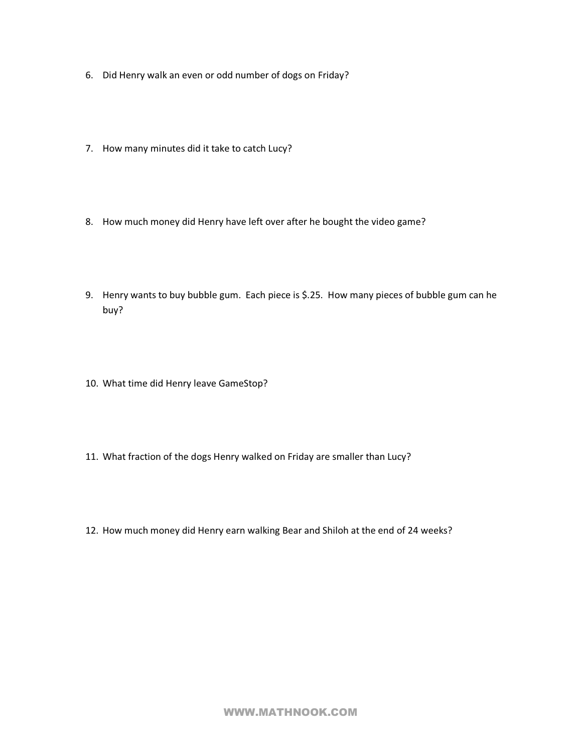- 6. Did Henry walk an even or odd number of dogs on Friday?
- 7. How many minutes did it take to catch Lucy?
- 8. How much money did Henry have left over after he bought the video game?
- 9. Henry wants to buy bubble gum. Each piece is \$.25. How many pieces of bubble gum can he buy?
- 10. What time did Henry leave GameStop?
- 11. What fraction of the dogs Henry walked on Friday are smaller than Lucy?
- 12. How much money did Henry earn walking Bear and Shiloh at the end of 24 weeks?